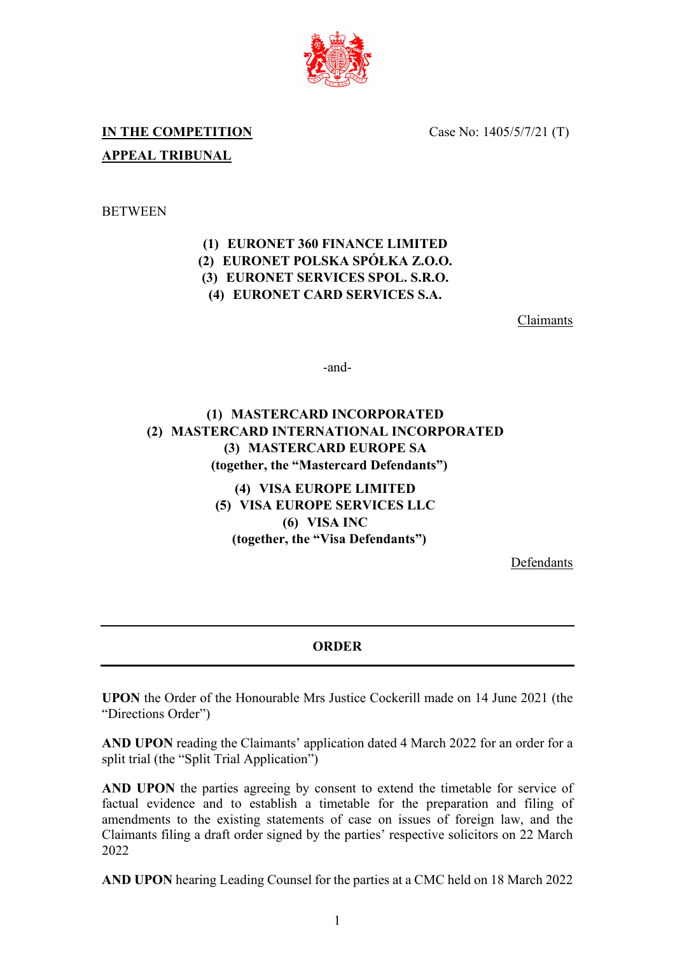

Case No: 1405/5/7/21 (T)

# **IN THE COMPETITION APPEAL TRIBUNAL**

#### **BETWEEN**

### **(1) EURONET 360 FINANCE LIMITED (2) EURONET POLSKA SPÓŁKA Z.O.O. (3) EURONET SERVICES SPOL. S.R.O. (4) EURONET CARD SERVICES S.A.**

Claimants

-and-

## **(1) MASTERCARD INCORPORATED (2) MASTERCARD INTERNATIONAL INCORPORATED (3) MASTERCARD EUROPE SA (together, the "Mastercard Defendants")**

**(4) VISA EUROPE LIMITED (5) VISA EUROPE SERVICES LLC (6) VISA INC (together, the "Visa Defendants")**

Defendants

#### **ORDER**

**UPON** the Order of the Honourable Mrs Justice Cockerill made on 14 June 2021 (the "Directions Order")

**AND UPON** reading the Claimants' application dated 4 March 2022 for an order for a split trial (the "Split Trial Application")

AND UPON the parties agreeing by consent to extend the timetable for service of factual evidence and to establish a timetable for the preparation and filing of amendments to the existing statements of case on issues of foreign law, and the Claimants filing a draft order signed by the parties' respective solicitors on 22 March 2022

**AND UPON** hearing Leading Counsel for the parties at a CMC held on 18 March 2022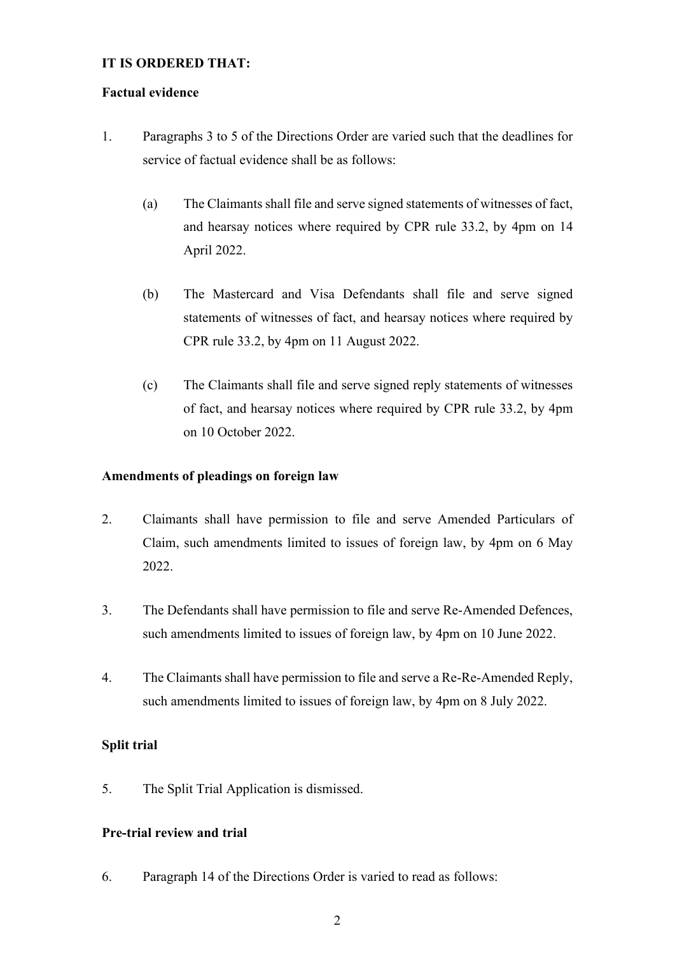#### **IT IS ORDERED THAT:**

#### **Factual evidence**

- 1. Paragraphs 3 to 5 of the Directions Order are varied such that the deadlines for service of factual evidence shall be as follows:
	- (a) The Claimants shall file and serve signed statements of witnesses of fact, and hearsay notices where required by CPR rule 33.2, by 4pm on 14 April 2022.
	- (b) The Mastercard and Visa Defendants shall file and serve signed statements of witnesses of fact, and hearsay notices where required by CPR rule 33.2, by 4pm on 11 August 2022.
	- (c) The Claimants shall file and serve signed reply statements of witnesses of fact, and hearsay notices where required by CPR rule 33.2, by 4pm on 10 October 2022.

#### **Amendments of pleadings on foreign law**

- 2. Claimants shall have permission to file and serve Amended Particulars of Claim, such amendments limited to issues of foreign law, by 4pm on 6 May 2022.
- 3. The Defendants shall have permission to file and serve Re-Amended Defences, such amendments limited to issues of foreign law, by 4pm on 10 June 2022.
- 4. The Claimants shall have permission to file and serve a Re-Re-Amended Reply, such amendments limited to issues of foreign law, by 4pm on 8 July 2022.

#### **Split trial**

5. The Split Trial Application is dismissed.

#### **Pre-trial review and trial**

6. Paragraph 14 of the Directions Order is varied to read as follows: